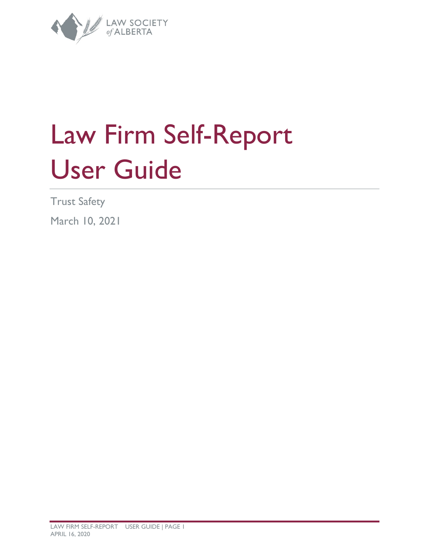

# Law Firm Self-Report User Guide

Trust Safety

March 10, 2021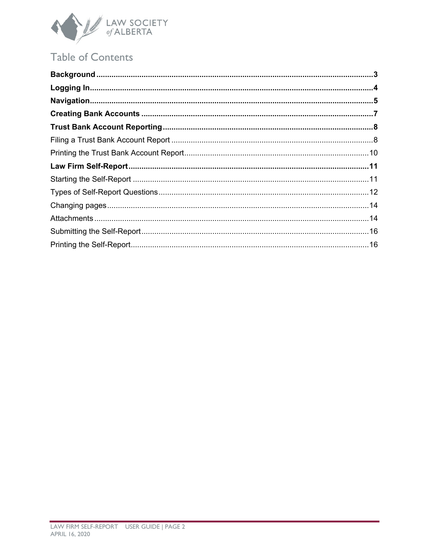

# Table of Contents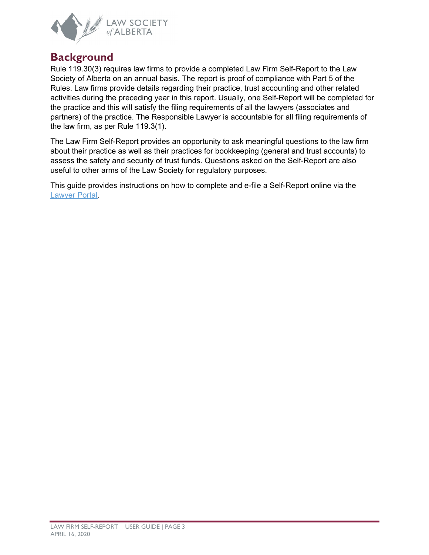

## <span id="page-2-0"></span>**Background**

Rule 119.30(3) requires law firms to provide a completed Law Firm Self-Report to the Law Society of Alberta on an annual basis. The report is proof of compliance with Part 5 of the Rules. Law firms provide details regarding their practice, trust accounting and other related activities during the preceding year in this report. Usually, one Self-Report will be completed for the practice and this will satisfy the filing requirements of all the lawyers (associates and partners) of the practice. The Responsible Lawyer is accountable for all filing requirements of the law firm, as per Rule 119.3(1).

The Law Firm Self-Report provides an opportunity to ask meaningful questions to the law firm about their practice as well as their practices for bookkeeping (general and trust accounts) to assess the safety and security of trust funds. Questions asked on the Self-Report are also useful to other arms of the Law Society for regulatory purposes.

This guide provides instructions on how to complete and e-file a Self-Report online via the [Lawyer Portal.](https://lsa.memberpro.net/main/body.cfm?menu=login)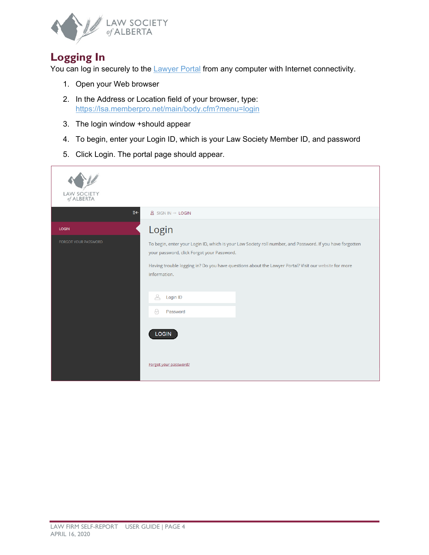

# <span id="page-3-0"></span>**Logging In**

You can log in securely to the **Lawyer Portal** from any computer with Internet connectivity.

- 1. Open your Web browser
- 2. In the Address or Location field of your browser, type: <https://lsa.memberpro.net/main/body.cfm?menu=login>
- 3. The login window +should appear
- 4. To begin, enter your Login ID, which is your Law Society Member ID, and password
- 5. Click Login. The portal page should appear.

| <b>LAW SOCIETY</b><br>of ALBERTA |                                                                                                                                                                                                                                                                                                                                                            |
|----------------------------------|------------------------------------------------------------------------------------------------------------------------------------------------------------------------------------------------------------------------------------------------------------------------------------------------------------------------------------------------------------|
| €€                               | $\underline{A}$ SIGN IN $\rightarrow$ LOGIN                                                                                                                                                                                                                                                                                                                |
| <b>LOGIN</b>                     | Login                                                                                                                                                                                                                                                                                                                                                      |
| FORGOT YOUR PASSWORD             | To begin, enter your Login ID, which is your Law Society roll number, and Password. If you have forgotten<br>your password, click Forgot your Password.<br>Having trouble logging in? Do you have questions about the Lawyer Portal? Visit our website for more<br>information.<br>ै<br>Login ID<br>$\theta$<br>Password<br>LOGIN<br>Forgot your password? |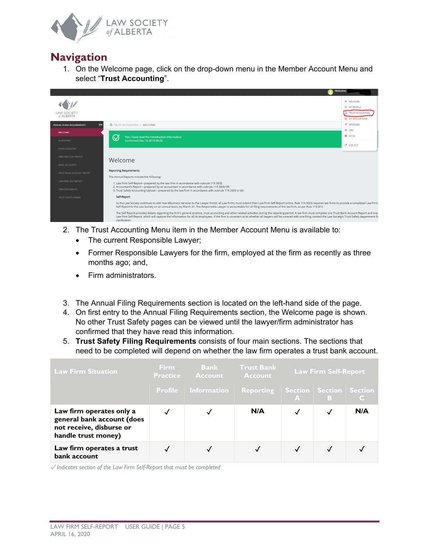

## <span id="page-4-0"></span>**Navigation**

1. On the Welcome page, click on the drop-down menu in the Member Account Menu and select "**Trust Accounting**".



- 2. The Trust Accounting Menu item in the Member Account Menu is available to:
	- The current Responsible Lawyer;
	- Former Responsible Lawyers for the firm, employed at the firm as recently as three months ago; and,
	- Firm administrators.
- 3. The Annual Filing Requirements section is located on the left-hand side of the page.
- 4. On first entry to the Annual Filing Requirements section, the Welcome page is shown. No other Trust Safety pages can be viewed until the lawyer/firm administrator has confirmed that they have read this information.
- 5. **Trust Safety Filing Requirements** consists of four main sections. The sections that need to be completed will depend on whether the law firm operates a trust bank account.

| <b>Law Firm Situation</b>                                                                                 | Firm.<br><b>Practice</b> | <b>Bank</b><br><b>Account</b> | <b>Trust Bank</b><br><b>Account</b> |                                             | <b>Law Firm Self-Report</b> |     |
|-----------------------------------------------------------------------------------------------------------|--------------------------|-------------------------------|-------------------------------------|---------------------------------------------|-----------------------------|-----|
|                                                                                                           |                          | <b>Profile</b> Information    | Reporting                           | Section   Section   Section<br>$\mathbf{A}$ | B                           |     |
| Law firm operates only a<br>general bank account (does<br>not receive, disburse or<br>handle trust money) |                          |                               | N/A                                 |                                             | √                           | N/A |
| Law firm operates a trust<br>bank account                                                                 |                          |                               |                                     |                                             |                             |     |

✓ *Indicates section of the Law Firm Self-Report that must be completed*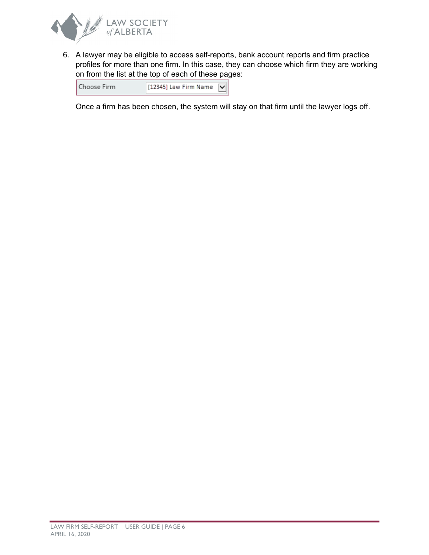

6. A lawyer may be eligible to access self-reports, bank account reports and firm practice profiles for more than one firm. In this case, they can choose which firm they are working on from the list at the top of each of these pages:

| Choose Firm | [12345] Law Firm Name $ \nabla $ |  |
|-------------|----------------------------------|--|
|             |                                  |  |

Once a firm has been chosen, the system will stay on that firm until the lawyer logs off.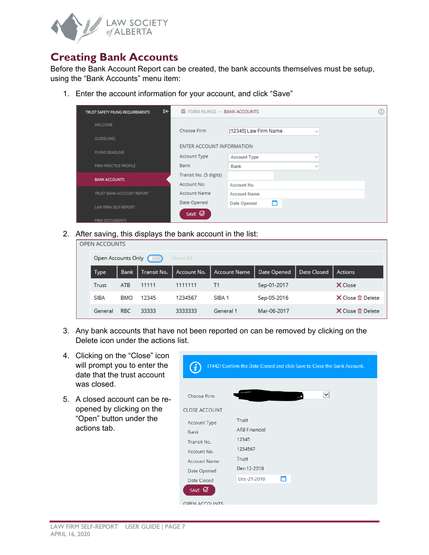

## <span id="page-6-0"></span>**Creating Bank Accounts**

Before the Bank Account Report can be created, the bank accounts themselves must be setup, using the "Bank Accounts" menu item:

1. Enter the account information for your account, and click "Save"

| €€<br>TRUST SAFETY FILING REQUIREMENTS |                           | <b>显 FORM FILINGS → BANK ACCOUNTS</b> |  |  |  |
|----------------------------------------|---------------------------|---------------------------------------|--|--|--|
| <b>WELCOME</b>                         |                           |                                       |  |  |  |
| <b>GUIDELINES</b>                      | Choose Firm               | [12345] Law Firm Name<br>$\checkmark$ |  |  |  |
| <b>FILING DEADLINE</b>                 | ENTER ACCOUNT INFORMATION |                                       |  |  |  |
|                                        | Account Type              | <b>Account Type</b><br>$\checkmark$   |  |  |  |
| FIRM PRACTICE PROFILE                  | <b>Bank</b>               | <b>Bank</b><br>$\checkmark$           |  |  |  |
| <b>BANK ACCOUNTS</b>                   | Transit No. (5 digits)    |                                       |  |  |  |
|                                        | Account No.               | Account No.                           |  |  |  |
| TRUST BANK ACCOUNT REPORT              | <b>Account Name</b>       | <b>Account Name</b>                   |  |  |  |
| LAW FIRM SELF-REPORT                   | Date Opened               | m<br>Date Opened                      |  |  |  |
|                                        | SAVE Ø                    |                                       |  |  |  |
| <b>FIRM DOCUMENTS</b>                  |                           |                                       |  |  |  |

2. After saving, this displays the bank account in the list:

| $\cdot$            |             |             |             |                     |             |             |                         |
|--------------------|-------------|-------------|-------------|---------------------|-------------|-------------|-------------------------|
| OPEN ACCOUNTS      |             |             |             |                     |             |             |                         |
| Open Accounts Only |             |             | Show All    |                     |             |             |                         |
| Type               | <b>Bank</b> | Transit No. | Account No. | <b>Account Name</b> | Date Opened | Date Closed | <b>Actions</b>          |
| Trust              | ATB.        | 11111       | 1111111     | T1                  | Sep-01-2017 |             | X Close                 |
| SIBA               | BMO         | 12345       | 1234567     | SIBA 1              | Sep-05-2016 |             | <b>X</b> Close 血 Delete |
| General            | RBC         | 33333       | 3333333     | General 1           | Mar-06-2017 |             | <b>X</b> Close 血 Delete |

- 3. Any bank accounts that have not been reported on can be removed by clicking on the Delete icon under the actions list.
- 4. Clicking on the "Close" icon will prompt you to enter the date that the trust account was closed.
- 5. A closed account can be reopened by clicking on the "Open" button under the actions tab.

| i                    | (1442) Confirm the Date Closed and click Save to Close the Bank Account. |  |  |  |
|----------------------|--------------------------------------------------------------------------|--|--|--|
| <b>Choose Firm</b>   |                                                                          |  |  |  |
| <b>CLOSE ACCOUNT</b> |                                                                          |  |  |  |
| <b>Account Type</b>  | <b>Trust</b>                                                             |  |  |  |
| <b>Bank</b>          | <b>ATB Financial</b>                                                     |  |  |  |
| Transit No.          | 12345                                                                    |  |  |  |
| Account No.          | 1234567                                                                  |  |  |  |
| <b>Account Name</b>  | <b>Trust</b>                                                             |  |  |  |
| Date Opened          | Dec-12-2018                                                              |  |  |  |
| <b>Date Closed</b>   | Dec-21-2018                                                              |  |  |  |
| SAVE Ø               |                                                                          |  |  |  |
| <b>OPEN ACCOUNTS</b> |                                                                          |  |  |  |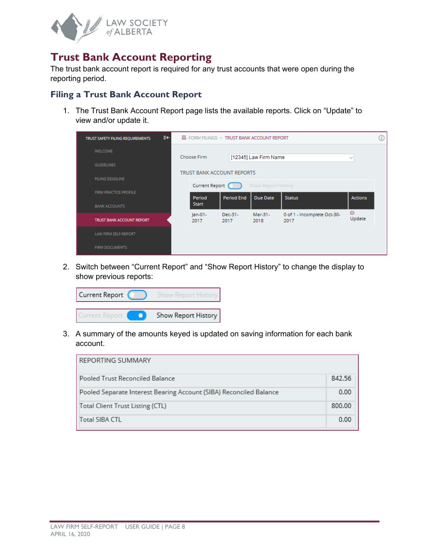

## <span id="page-7-0"></span>**Trust Bank Account Reporting**

The trust bank account report is required for any trust accounts that were open during the reporting period.

#### <span id="page-7-1"></span>**Filing a Trust Bank Account Report**

1. The Trust Bank Account Report page lists the available reports. Click on "Update" to view and/or update it.

| ≣e<br>TRUST SAFETY FILING REQUIREMENTS |                            | $\boxtimes$ FORM FILINGS $\rightarrow$ TRUST BANK ACCOUNT REPORT |                                               |                                     |                    | Œ |
|----------------------------------------|----------------------------|------------------------------------------------------------------|-----------------------------------------------|-------------------------------------|--------------------|---|
| <b>WELCOME</b>                         | Choose Firm                |                                                                  | [12345] Law Firm Name                         |                                     | $\checkmark$       |   |
| <b>GUIDELINES</b>                      |                            |                                                                  |                                               |                                     |                    |   |
| <b>FILING DEADLINE</b>                 |                            | <b>TRUST BANK ACCOUNT REPORTS</b>                                |                                               |                                     |                    |   |
| FIRM PRACTICE PROFILE                  | Current Report (<br>Period | <b>Period End</b>                                                | <b>Show Report History</b><br><b>Due Date</b> | <b>Status</b>                       | <b>Actions</b>     |   |
| <b>BANK ACCOUNTS</b>                   | <b>Start</b>               |                                                                  |                                               |                                     |                    |   |
| TRUST BANK ACCOUNT REPORT              | $Jan-01-$<br>2017          | Dec-31-<br>2017                                                  | Mar-31-<br>2018                               | 0 of 1 - Incomplete Oct-30-<br>2017 | $\Omega$<br>Update |   |
| LAW FIRM SELF-REPORT                   |                            |                                                                  |                                               |                                     |                    |   |
| <b>FIRM DOCUMENTS</b>                  |                            |                                                                  |                                               |                                     |                    |   |

2. Switch between "Current Report" and "Show Report History" to change the display to show previous reports:

| Current Report | <b>Show Report History</b> |
|----------------|----------------------------|
| urrent Report  | Show Report History        |

3. A summary of the amounts keyed is updated on saving information for each bank account.

| REPORTING SUMMARY                                                  |        |
|--------------------------------------------------------------------|--------|
| Pooled Trust Reconciled Balance                                    | 842.56 |
| Pooled Separate Interest Bearing Account (SIBA) Reconciled Balance | 0.00   |
| Total Client Trust Listing (CTL)                                   | 800.00 |
| Total SIBA CTL                                                     | 0.00   |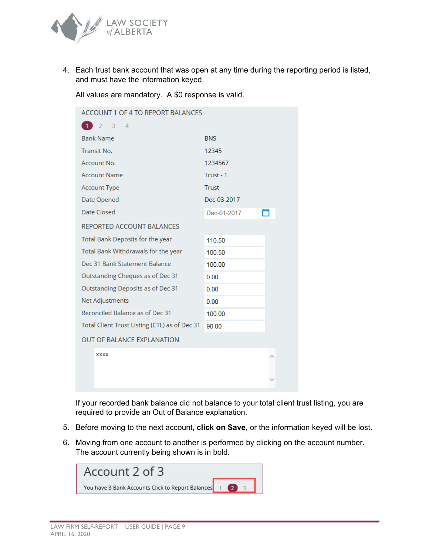

4. Each trust bank account that was open at any time during the reporting period is listed, and must have the information keyed.

All values are mandatory. A \$0 response is valid.

| <b>ACCOUNT 1 OF 4 TO REPORT BALANCES</b>      |              |
|-----------------------------------------------|--------------|
| $-3$<br>12<br>$\overline{4}$                  |              |
| <b>Bank Name</b>                              | <b>BNS</b>   |
| <b>Transit No.</b>                            | 12345        |
| Account No.                                   | 1234567      |
| <b>Account Name</b>                           | Trust - 1    |
| <b>Account Type</b>                           | <b>Trust</b> |
| Date Opened                                   | Dec-03-2017  |
| Date Closed                                   | Dec-01-2017  |
| REPORTED ACCOUNT BALANCES                     |              |
| Total Bank Deposits for the year              | 110.50       |
| Total Bank Withdrawals for the year           | 100.50       |
| Dec 31 Bank Statement Balance                 | 100.00       |
| Outstanding Cheques as of Dec 31              | 0.00         |
| Outstanding Deposits as of Dec 31             | 0.00         |
| Net Adjustments                               | 0.00         |
| Reconciled Balance as of Dec 31               | 100.00       |
| Total Client Trust Listing (CTL) as of Dec 31 | 90.00        |
| <b>OUT OF BALANCE EXPLANATION</b>             |              |
| <b>XXXX</b>                                   |              |
|                                               |              |
|                                               |              |
|                                               |              |

If your recorded bank balance did not balance to your total client trust listing, you are required to provide an Out of Balance explanation.

- 5. Before moving to the next account, **click on Save**, or the information keyed will be lost.
- 6. Moving from one account to another is performed by clicking on the account number. The account currently being shown is in bold.

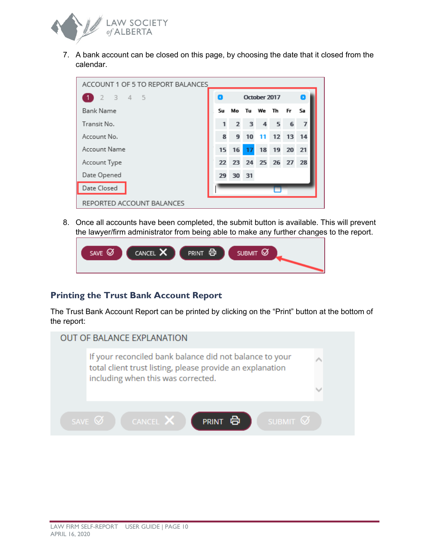

7. A bank account can be closed on this page, by choosing the date that it closed from the calendar.

| ACCOUNT 1 OF 5 TO REPORT BALANCES |    |                      |    |                             |          |     |    |
|-----------------------------------|----|----------------------|----|-----------------------------|----------|-----|----|
| $3 \t 4 \t 5$<br>$-2$             |    |                      |    | October 2017                |          |     |    |
| <b>Bank Name</b>                  | Su | Мo                   |    |                             | Tu We Th | Fr. | Sa |
| Transit No.                       | 1  |                      |    | $2 \quad 3 \quad 4 \quad 5$ |          | 6   | 7  |
| Account No.                       | 8  | 9                    | 10 | -11                         | 12 13 14 |     |    |
| Account Name                      | 15 | 16                   | 17 | 18                          | 19 20 21 |     |    |
| Account Type                      |    | 22 23 24 25 26 27 28 |    |                             |          |     |    |
| Date Opened                       | 29 | 30 31                |    |                             |          |     |    |
| Date Closed                       |    |                      |    |                             |          |     |    |
| REPORTED ACCOUNT BALANCES         |    |                      |    |                             |          |     |    |

8. Once all accounts have been completed, the submit button is available. This will prevent the lawyer/firm administrator from being able to make any further changes to the report.

| $\sigma$ | CANCEL X | <b>PRINT</b> | Ø             |
|----------|----------|--------------|---------------|
| SAVE     |          | Ē            | <b>SUBMIT</b> |
|          |          |              |               |

#### <span id="page-9-0"></span>**Printing the Trust Bank Account Report**

The Trust Bank Account Report can be printed by clicking on the "Print" button at the bottom of the report:

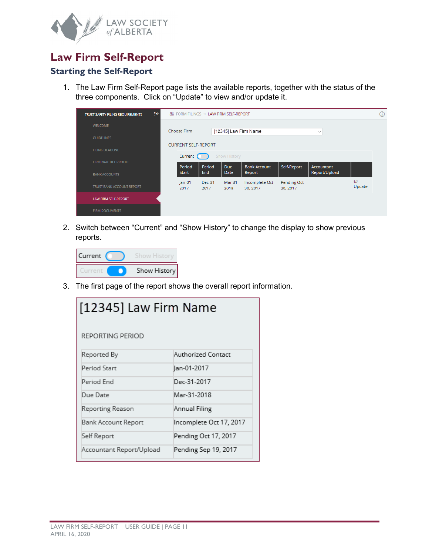

## <span id="page-10-0"></span>**Law Firm Self-Report**

#### <span id="page-10-1"></span>**Starting the Self-Report**

1. The Law Firm Self-Report page lists the available reports, together with the status of the three components. Click on "Update" to view and/or update it.

| €€<br>TRUST SAFETY FILING REQUIREMENTS |                                  | 显 FORM FILINGS → LAW FIRM SELF-REPORT                |                      |                    |                               |                         |                             |                    | $\left( i\right)$ |
|----------------------------------------|----------------------------------|------------------------------------------------------|----------------------|--------------------|-------------------------------|-------------------------|-----------------------------|--------------------|-------------------|
| <b>WELCOME</b>                         |                                  |                                                      |                      |                    |                               |                         |                             |                    |                   |
| <b>GUIDELINES</b>                      |                                  | [12345] Law Firm Name<br>Choose Firm<br>$\checkmark$ |                      |                    |                               |                         |                             |                    |                   |
| <b>FILING DEADLINE</b>                 |                                  | <b>CURRENT SELF-REPORT</b>                           |                      |                    |                               |                         |                             |                    |                   |
| FIRM PRACTICE PROFILE                  | Current (<br><b>Show History</b> |                                                      |                      |                    |                               |                         |                             |                    |                   |
| <b>BANK ACCOUNTS</b>                   |                                  | Period<br><b>Start</b>                               | Period<br><b>End</b> | Due<br><b>Date</b> | <b>Bank Account</b><br>Report | Self-Report             | Accountant<br>Report/Upload |                    |                   |
| TRUST BANK ACCOUNT REPORT              |                                  | $Jan-01-$<br>2017                                    | Dec-31-<br>2017      | Mar-31-<br>2018    | Incomplete Oct<br>30, 2017    | Pending Oct<br>30, 2017 |                             | $\Omega$<br>Update |                   |
| LAW FIRM SELF-REPORT                   |                                  |                                                      |                      |                    |                               |                         |                             |                    |                   |
| <b>FIRM DOCUMENTS</b>                  |                                  |                                                      |                      |                    |                               |                         |                             |                    |                   |

2. Switch between "Current" and "Show History" to change the display to show previous reports.

| Current |              |
|---------|--------------|
|         | Show History |

3. The first page of the report shows the overall report information.

| [12345] Law Firm Name    |                         |  |  |
|--------------------------|-------------------------|--|--|
| REPORTING PERIOD         |                         |  |  |
| Reported By              | Authorized Contact      |  |  |
| Period Start             | Jan-01-2017             |  |  |
| Period End               | Dec-31-2017             |  |  |
| Due Date                 | Mar-31-2018             |  |  |
| Reporting Reason         | Annual Filing           |  |  |
| Bank Account Report      | Incomplete Oct 17, 2017 |  |  |
| Self Report              | Pending Oct 17, 2017    |  |  |
| Accountant Report/Upload | Pending Sep 19, 2017    |  |  |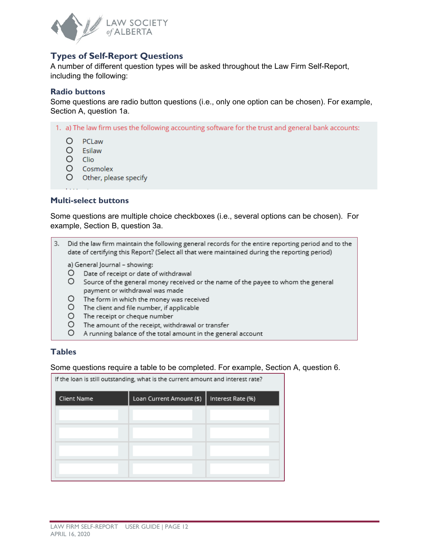

#### <span id="page-11-0"></span>**Types of Self-Report Questions**

A number of different question types will be asked throughout the Law Firm Self-Report, including the following:

#### **Radio buttons**

Some questions are radio button questions (i.e., only one option can be chosen). For example, Section A, question 1a.

- 1. a) The law firm uses the following accounting software for the trust and general bank accounts:
	- O PCLaw
	- O Esilaw
	- $\circ$ Clio
	- $O$  Cosmolex
	- O Other, please specify

#### **Multi-select buttons**

Some questions are multiple choice checkboxes (i.e., several options can be chosen). For example, Section B, question 3a.

3. Did the law firm maintain the following general records for the entire reporting period and to the date of certifying this Report? (Select all that were maintained during the reporting period)

a) General Journal - showing:

- O Date of receipt or date of withdrawal
- O Source of the general money received or the name of the payee to whom the general payment or withdrawal was made
- O The form in which the money was received
- O The client and file number, if applicable
- O The receipt or cheque number
- O The amount of the receipt, withdrawal or transfer
- O A running balance of the total amount in the general account

#### **Tables**

#### Some questions require a table to be completed. For example, Section A, question 6.

| If the loan is still outstanding, what is the current amount and interest rate? |                          |                   |  |  |
|---------------------------------------------------------------------------------|--------------------------|-------------------|--|--|
| Client Name                                                                     | Loan Current Amount (\$) | Interest Rate (%) |  |  |
|                                                                                 |                          |                   |  |  |
|                                                                                 |                          |                   |  |  |
|                                                                                 |                          |                   |  |  |
|                                                                                 |                          |                   |  |  |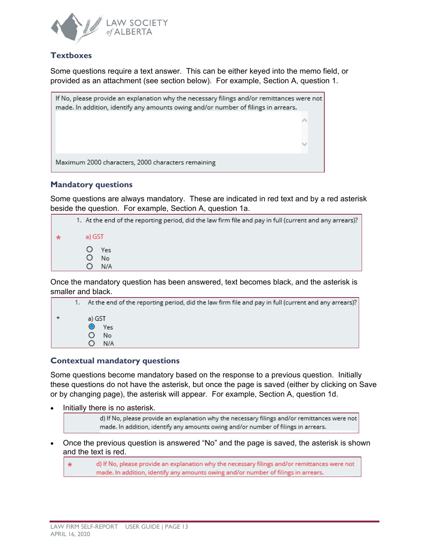

#### **Textboxes**

Some questions require a text answer. This can be either keyed into the memo field, or provided as an attachment (see section below). For example, Section A, question 1.



#### **Mandatory questions**

Some questions are always mandatory. These are indicated in red text and by a red asterisk beside the question. For example, Section A, question 1a.

| 1. At the end of the reporting period, did the law firm file and pay in full (current and any arrears)? |
|---------------------------------------------------------------------------------------------------------|
| a) GST                                                                                                  |
| O Yes<br>No<br>N/A                                                                                      |
|                                                                                                         |

Once the mandatory question has been answered, text becomes black, and the asterisk is smaller and black.

|  | 1. At the end of the reporting period, did the law firm file and pay in full (current and any arrears)? |
|--|---------------------------------------------------------------------------------------------------------|
|  | a) GST                                                                                                  |
|  | Yes                                                                                                     |
|  | No                                                                                                      |
|  | N/A                                                                                                     |

#### **Contextual mandatory questions**

Some questions become mandatory based on the response to a previous question. Initially these questions do not have the asterisk, but once the page is saved (either by clicking on Save or by changing page), the asterisk will appear. For example, Section A, question 1d.

• Initially there is no asterisk.

d) If No, please provide an explanation why the necessary filings and/or remittances were not made. In addition, identify any amounts owing and/or number of filings in arrears.

• Once the previous question is answered "No" and the page is saved, the asterisk is shown and the text is red.

d) If No, please provide an explanation why the necessary filings and/or remittances were not  $\star$ made. In addition, identify any amounts owing and/or number of filings in arrears.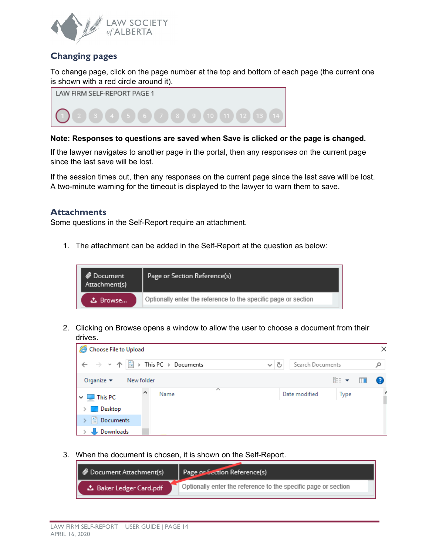

### <span id="page-13-0"></span>**Changing pages**

To change page, click on the page number at the top and bottom of each page (the current one is shown with a red circle around it).



#### **Note: Responses to questions are saved when Save is clicked or the page is changed.**

If the lawyer navigates to another page in the portal, then any responses on the current page since the last save will be lost.

If the session times out, then any responses on the current page since the last save will be lost. A two-minute warning for the timeout is displayed to the lawyer to warn them to save.

#### <span id="page-13-1"></span>**Attachments**

Some questions in the Self-Report require an attachment.

1. The attachment can be added in the Self-Report at the question as below:



2. Clicking on Browse opens a window to allow the user to choose a document from their drives.

| e<br>Choose File to Upload<br>×              |      |                   |                  |          |    |  |
|----------------------------------------------|------|-------------------|------------------|----------|----|--|
|                                              |      | Ō<br>$\checkmark$ | Search Documents |          | مر |  |
| Organize $\blacktriangleright$<br>New folder |      |                   |                  | 距 ▼<br>Ш | Ø  |  |
| A<br>$\vee$ $\Box$ This PC                   | Name | ∧                 | Date modified    | Type     |    |  |
| Desktop                                      |      |                   |                  |          |    |  |
| 图 Documents                                  |      |                   |                  |          |    |  |
| Downloads                                    |      |                   |                  |          |    |  |

3. When the document is chosen, it is shown on the Self-Report.

| Document Attachment(s)  | Page or Section Reference(s)                                   |
|-------------------------|----------------------------------------------------------------|
| △ Baker Ledger Card.pdf | Optionally enter the reference to the specific page or section |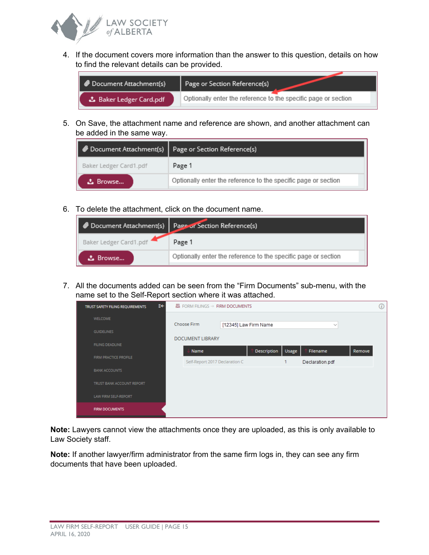

4. If the document covers more information than the answer to this question, details on how to find the relevant details can be provided.

| $\bullet$ Document Attachment(s) | Page or Section Reference(s)                                   |
|----------------------------------|----------------------------------------------------------------|
| む Baker Ledger Card.pdf          | Optionally enter the reference to the specific page or section |

5. On Save, the attachment name and reference are shown, and another attachment can be added in the same way.

| Document Attachment(s)   Page or Section Reference(s) |                                                                |  |  |
|-------------------------------------------------------|----------------------------------------------------------------|--|--|
| Baker Ledger Card1.pdf                                | Page 1                                                         |  |  |
| <b>L</b> Browse                                       | Optionally enter the reference to the specific page or section |  |  |

6. To delete the attachment, click on the document name.

| Document Attachment(s)   Page or Section Reference(s) |                                                                |
|-------------------------------------------------------|----------------------------------------------------------------|
| Baker Ledger Card1.pdf                                | Page 1                                                         |
| こ Browse                                              | Optionally enter the reference to the specific page or section |

7. All the documents added can be seen from the "Firm Documents" sub-menu, with the name set to the Self-Report section where it was attached.

| €€<br>$\mathbb{E}$ FORM FILINGS $\rightarrow$ FIRM DOCUMENTS<br>TRUST SAFETY FILING REQUIREMENTS |                           |                                |                       |             |       |                 | (i)    |  |
|--------------------------------------------------------------------------------------------------|---------------------------|--------------------------------|-----------------------|-------------|-------|-----------------|--------|--|
|                                                                                                  | <b>WELCOME</b>            |                                |                       |             |       |                 |        |  |
|                                                                                                  | <b>GUIDELINES</b>         | Choose Firm                    | [12345] Law Firm Name |             |       | $\checkmark$    |        |  |
|                                                                                                  | <b>FILING DEADLINE</b>    | <b>DOCUMENT LIBRARY</b>        |                       |             |       |                 |        |  |
|                                                                                                  |                           | Name                           |                       | Description | Usage | Filename        | Remove |  |
|                                                                                                  | FIRM PRACTICE PROFILE     | Self-Report 2017 Declaration C |                       |             | 1     | Declaration.pdf |        |  |
|                                                                                                  | <b>BANK ACCOUNTS</b>      |                                |                       |             |       |                 |        |  |
|                                                                                                  | TRUST BANK ACCOUNT REPORT |                                |                       |             |       |                 |        |  |
|                                                                                                  | LAW FIRM SELF-REPORT      |                                |                       |             |       |                 |        |  |
|                                                                                                  | <b>FIRM DOCUMENTS</b>     |                                |                       |             |       |                 |        |  |

**Note:** Lawyers cannot view the attachments once they are uploaded, as this is only available to Law Society staff.

**Note:** If another lawyer/firm administrator from the same firm logs in, they can see any firm documents that have been uploaded.